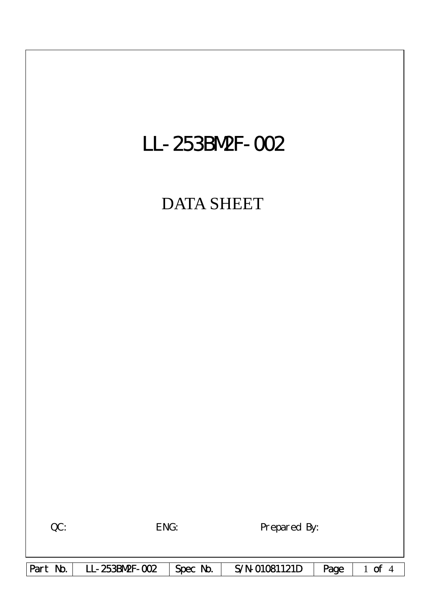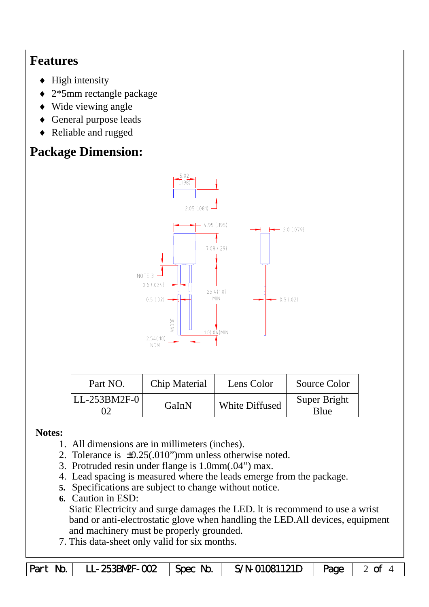## **Features**

- $\blacklozenge$  High intensity
- ♦ 2\*5mm rectangle package
- ♦ Wide viewing angle
- ♦ General purpose leads
- ♦ Reliable and rugged

# **Package Dimension:**



| Part NO.       | Chip Material | Lens Color            | Source Color         |
|----------------|---------------|-----------------------|----------------------|
| $LL-253BM2F-0$ | GaInN         | <b>White Diffused</b> | Super Bright<br>Blue |

### **Notes:**

- 1. All dimensions are in millimeters (inches).
- 2. Tolerance is ±0.25(.010")mm unless otherwise noted.
- 3. Protruded resin under flange is 1.0mm(.04") max.
- 4. Lead spacing is measured where the leads emerge from the package.
- **5.** Specifications are subject to change without notice.
- **6.** Caution in ESD:
	- Siatic Electricity and surge damages the LED. lt is recommend to use a wrist band or anti-electrostatic glove when handling the LED.All devices, equipment and machinery must be properly grounded.
- 7. This data-sheet only valid for six months.

Part No. | LL-253BN2F-002 | Spec No. | S/N-01081121D | Page | 2 of 4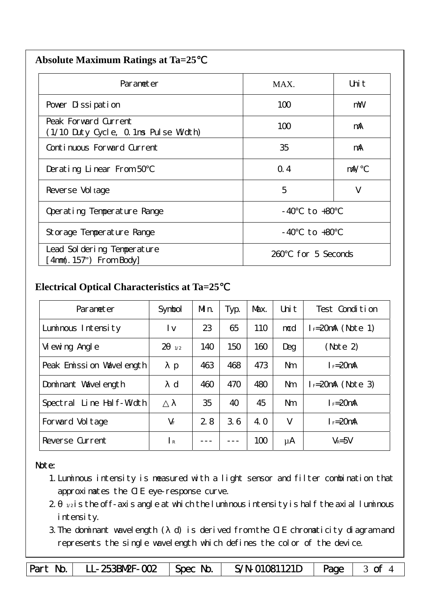| <b>Absolute Maximum Ratings at Ta=25</b> |  |
|------------------------------------------|--|
|                                          |  |

| Parameter                                                    | MAX.                  | Uni t |  |
|--------------------------------------------------------------|-----------------------|-------|--|
| Pover Dissipation                                            | 100                   | mW    |  |
| Peak Forward Current<br>(1/10 Duty Cycle, 0.1ms Pulse Width) | 100                   | mA    |  |
| Continuous Forward Current                                   | 35                    | mA    |  |
| Derating Linear From 50                                      | Q.4                   | mA/   |  |
| Reverse Vol tage                                             | 5                     | V     |  |
| Operating Temperature Range                                  | to +80<br>- 40        |       |  |
| Storage Temperature Range                                    | $-40$ to $+80$        |       |  |
| Lead Sol dering Temperature<br>$4mm(.157")$ From Body        | for 5 Seconds<br>260. |       |  |

### **Electrical Optical Characteristics at Ta=25**℃

| Parameter                   | Symbol                | Mn. | Typ. | Max. | Uni t          | Test Condition       |
|-----------------------------|-----------------------|-----|------|------|----------------|----------------------|
| Luminous Intensity          | l v                   | 23  | 65   | 110  | mcd            | $I_F=20$ mA (Note 1) |
| Vi ewing Angl e             | $\overline{2}$<br>1/2 | 140 | 150  | 160  | Deg            | (Note 2)             |
| Peak Emission Wavelength    | p                     | 463 | 468  | 473  | N <sub>m</sub> | $I_F = 20$ mA        |
| Dominant Wavelength         | $\mathbf d$           | 460 | 470  | 480  | <b>Nm</b>      | $I = 20mA$ (Note 3)  |
| Line Half-Width<br>Spectral |                       | 35  | 40   | 45   | N <sub>m</sub> | $I_F = 20$ mA        |
| Forward Voltage             | $V_F$                 | 2.8 | 3.6  | 4. O | $\vee$         | $I_F = 20$ mA        |
| Reverse Current             | $\mathsf{R}$          |     |      | 100  | μA             | $V_R = 5V$           |

#### Note:

- 1.Luminous intensity is measured with a light sensor and filter combination that approximates the CIE eye-response curve.
- $2 1/2$  is the off-axis angle at which the luminous intensity is half the axial luminous i ntensity.
- 3.The dominant wavelength ( d) is derived from the CIE chromaticity diagram and represents the single wavelength which defines the color of the device.

Part No. LL-253BM2F-002 Spec No. S/N-01081121D Page 3 of 4